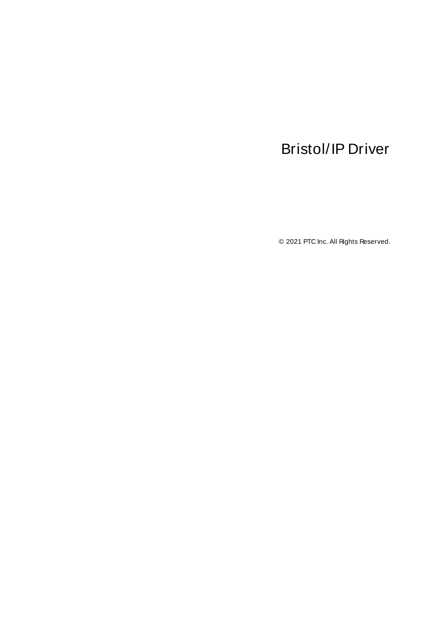# <span id="page-0-0"></span>Bristol/IP Driver

© 2021 PTC Inc. All Rights Reserved.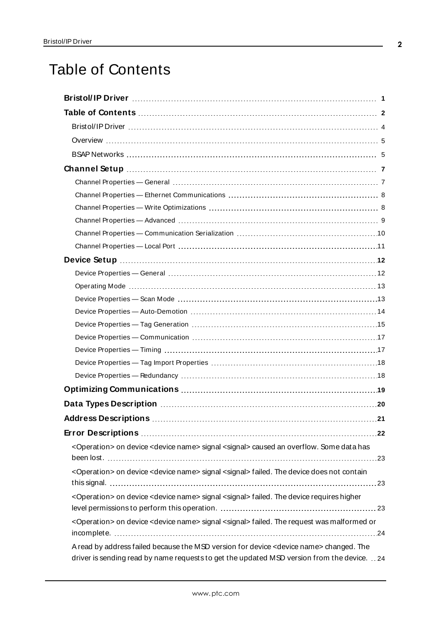# <span id="page-1-0"></span>Table of Contents

| <operation> on device <device name=""> signal <signal> caused an overflow. Some data has</signal></device></operation>                                                                            |
|---------------------------------------------------------------------------------------------------------------------------------------------------------------------------------------------------|
|                                                                                                                                                                                                   |
| <operation> on device <device name=""> signal <signal> failed. The device does not contain</signal></device></operation>                                                                          |
| <operation> on device <device name=""> signal <signal> failed. The device requires higher</signal></device></operation>                                                                           |
| <operation> on device <device name=""> signal <signal> failed. The request was malformed or</signal></device></operation>                                                                         |
| A read by address failed because the MSD version for device <device name=""> changed. The<br/>driver is sending read by name requests to get the updated MSD version from the device. 24</device> |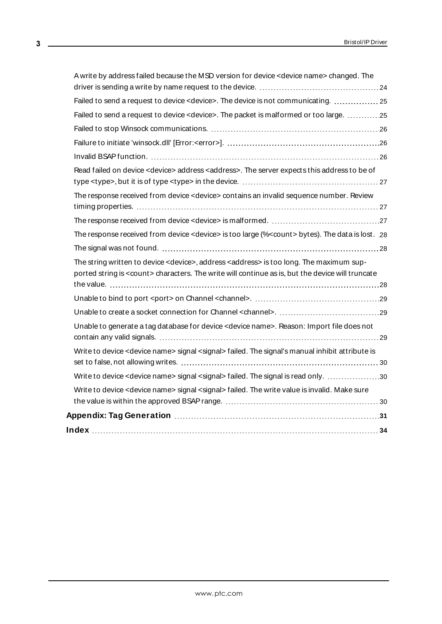| A write by address failed because the MSD version for device <device name=""> changed. The</device>                                                                                                                    |  |
|------------------------------------------------------------------------------------------------------------------------------------------------------------------------------------------------------------------------|--|
|                                                                                                                                                                                                                        |  |
| Failed to send a request to device < device>. The device is not communicating.  25                                                                                                                                     |  |
| Failed to send a request to device < device>. The packet is malformed or too large. 25                                                                                                                                 |  |
|                                                                                                                                                                                                                        |  |
|                                                                                                                                                                                                                        |  |
|                                                                                                                                                                                                                        |  |
| Read failed on device <device> address <address>. The server expects this address to be of</address></device>                                                                                                          |  |
| The response received from device <device> contains an invalid sequence number. Review</device>                                                                                                                        |  |
|                                                                                                                                                                                                                        |  |
| The response received from device <device> is too large (%<count> bytes). The data is lost. 28</count></device>                                                                                                        |  |
|                                                                                                                                                                                                                        |  |
| The string written to device <device>, address <address> is too long. The maximum sup-<br/>ported string is <count> characters. The write will continue as is, but the device will truncate</count></address></device> |  |
|                                                                                                                                                                                                                        |  |
|                                                                                                                                                                                                                        |  |
| Unable to generate a tag database for device < device name>. Reason: Import file does not                                                                                                                              |  |
| Write to device <device name=""> signal <signal> failed. The signal's manual inhibit attribute is</signal></device>                                                                                                    |  |
| Write to device <device name=""> signal <signal> failed. The signal is read only. 30</signal></device>                                                                                                                 |  |
| Write to device <device name=""> signal <signal> failed. The write value is invalid. Make sure</signal></device>                                                                                                       |  |
|                                                                                                                                                                                                                        |  |
|                                                                                                                                                                                                                        |  |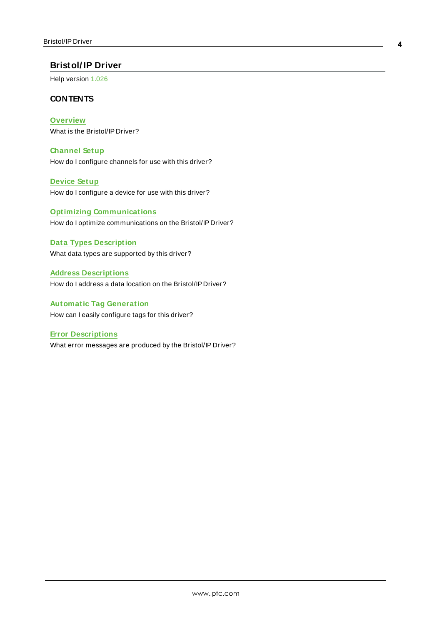## <span id="page-3-0"></span>**Bristol/ IP Driver**

Help version 1.026

#### **CONTENTS**

**[Overview](#page-4-0)** What is the Bristol/IP Driver?

**[Channel](#page-6-0) Setup** How do I configure channels for use with this driver?

**[Device](#page-11-0) Setup** How do I configure a device for use with this driver?

**Optimizing [Communications](#page-18-0)** How do I optimize communications on the Bristol/IP Driver?

**Data Types [Description](#page-19-0)** What data types are supported by this driver?

**Address [Descriptions](#page-20-0)** How do I address a data location on the Bristol/IP Driver?

**Automatic Tag [Generation](#page-30-0)** How can I easily configure tags for this driver?

**Error [Descriptions](#page-21-0)** What error messages are produced by the Bristol/IP Driver?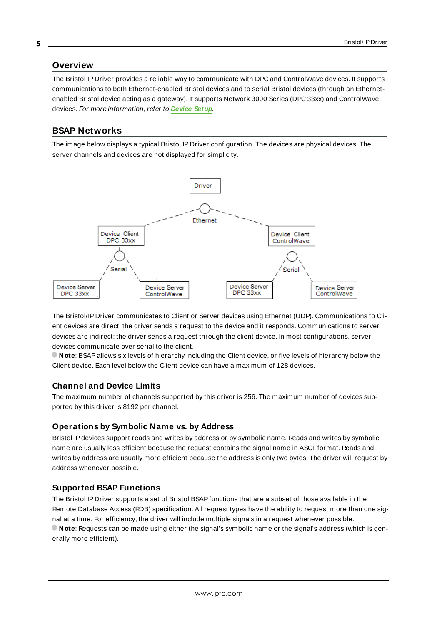#### <span id="page-4-0"></span>**Overview**

The Bristol IP Driver provides a reliable way to communicate with DPC and ControlWave devices. It supports communications to both Ethernet-enabled Bristol devices and to serial Bristol devices (through an Ethernetenabled Bristol device acting as a gateway). It supports Network 3000 Series (DPC 33xx) and ControlWave devices. For more information, refer to **[Device](#page-11-0) Setup**.

#### <span id="page-4-1"></span>**BSAP Networks**

The image below displays a typical Bristol IP Driver configuration. The devices are physical devices. The server channels and devices are not displayed for simplicity.



The Bristol/IP Driver communicates to Client or Server devices using Ethernet (UDP). Communications to Client devices are direct: the driver sends a request to the device and it responds. Communications to server devices are indirect: the driver sends a request through the client device. In most configurations, server devices communicate over serial to the client.

**Note**: BSAPallows six levels of hierarchy including the Client device, or five levels of hierarchy below the Client device. Each level below the Client device can have a maximum of 128 devices.

#### **Channel and Device Limits**

The maximum number of channels supported by this driver is 256. The maximum number of devices supported by this driver is 8192 per channel.

#### **Operations by Symbolic Name vs. by Address**

Bristol IP devices support reads and writes by address or by symbolic name. Reads and writes by symbolic name are usually less efficient because the request contains the signal name in ASCII format. Reads and writes by address are usually more efficient because the address is only two bytes. The driver will request by address whenever possible.

#### **Supported BSAP Functions**

The Bristol IP Driver supports a set of Bristol BSAPfunctions that are a subset of those available in the Remote Database Access (RDB) specification. All request types have the ability to request more than one signal at a time. For efficiency, the driver will include multiple signals in a request whenever possible. **Note**: Requests can be made using either the signal's symbolic name or the signal's address (which is generally more efficient).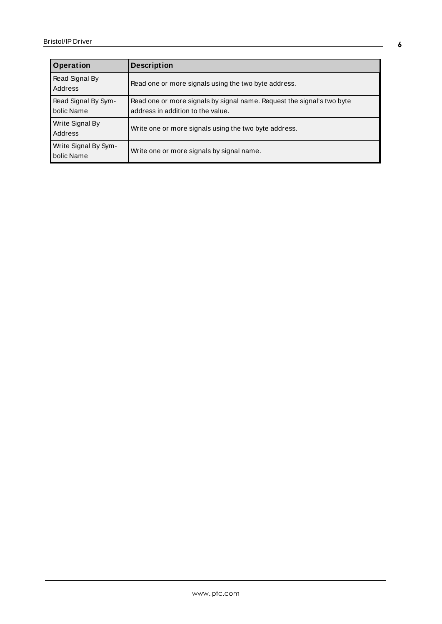| Operation                          | <b>Description</b>                                                                                          |
|------------------------------------|-------------------------------------------------------------------------------------------------------------|
| Read Signal By<br>Address          | Read one or more signals using the two byte address.                                                        |
| Read Signal By Sym-<br>bolic Name  | Read one or more signals by signal name. Request the signal's two byte<br>address in addition to the value. |
| Write Signal By<br>Address         | Write one or more signals using the two byte address.                                                       |
| Write Signal By Sym-<br>bolic Name | Write one or more signals by signal name.                                                                   |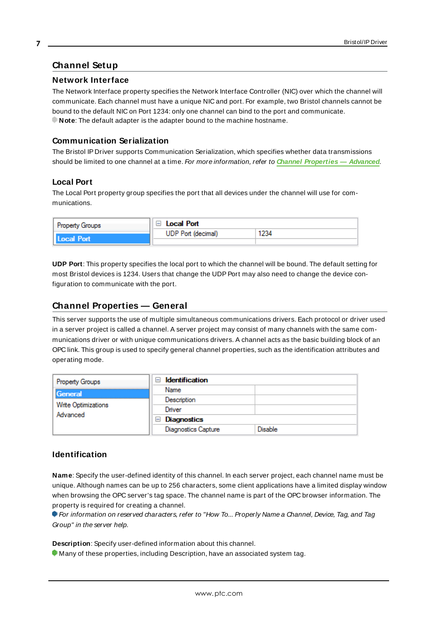## <span id="page-6-0"></span>**Channel Setup**

#### **Network Interface**

The Network Interface property specifies the Network Interface Controller (NIC) over which the channel will communicate. Each channel must have a unique NIC and port. For example, two Bristol channels cannot be bound to the default NIC on Port 1234: only one channel can bind to the port and communicate. **Note:** The default adapter is the adapter bound to the machine hostname.

### **Communication Serialization**

The Bristol IP Driver supports Communication Serialization, which specifies whether data transmissions should be limited to one channel at a time. For more information, refer to **Channel [Properties](#page-8-0) — Advanced**.

### **Local Port**

The Local Port property group specifies the port that all devices under the channel will use for communications.

| <b>Property Groups</b> | □ Local Port              |      |
|------------------------|---------------------------|------|
| Local Port             | <b>UDP Port (decimal)</b> | 1234 |
|                        |                           |      |

**UDP Port**: This property specifies the local port to which the channel will be bound. The default setting for most Bristol devices is 1234. Users that change the UDP Port may also need to change the device configuration to communicate with the port.

### <span id="page-6-1"></span>**Channel Properties — General**

This server supports the use of multiple simultaneous communications drivers. Each protocol or driver used in a server project is called a channel. A server project may consist of many channels with the same communications driver or with unique communications drivers. A channel acts as the basic building block of an OPC link. This group is used to specify general channel properties, such as the identification attributes and operating mode.

| <b>Property Groups</b>          | <b>Identification</b><br>$-$ |                |
|---------------------------------|------------------------------|----------------|
| General                         | Name                         |                |
|                                 | Description                  |                |
| Write Optimizations<br>Advanced | Driver                       |                |
|                                 | $\Box$ Diagnostics           |                |
|                                 | <b>Diagnostics Capture</b>   | <b>Disable</b> |

## **Identification**

**Name**: Specify the user-defined identity of this channel. In each server project, each channel name must be unique. Although names can be up to 256 characters, some client applications have a limited display window when browsing the OPC server's tag space. The channel name is part of the OPC browser information. The property is required for creating a channel.

For information on reserved characters, refer to "How To... Properly Name a Channel, Device, Tag, and Tag Group" in the server help.

**Description**: Specify user-defined information about this channel.

Many of these properties, including Description, have an associated system tag.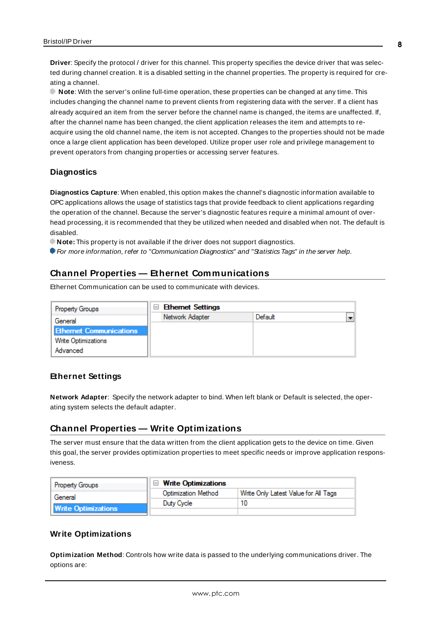**Driver**: Specify the protocol / driver for this channel. This property specifies the device driver that was selected during channel creation. It is a disabled setting in the channel properties. The property is required for creating a channel.

**Note**: With the server's online full-time operation, these properties can be changed at any time. This includes changing the channel name to prevent clients from registering data with the server. If a client has already acquired an item from the server before the channel name is changed, the items are unaffected. If, after the channel name has been changed, the client application releases the item and attempts to reacquire using the old channel name, the item is not accepted. Changes to the properties should not be made once a large client application has been developed. Utilize proper user role and privilege management to prevent operators from changing properties or accessing server features.

#### **Diagnostics**

**Diagnostics Capture**: When enabled, this option makes the channel's diagnostic information available to OPC applications allows the usage of statistics tags that provide feedback to client applications regarding the operation of the channel. Because the server's diagnostic features require a minimal amount of overhead processing, it is recommended that they be utilized when needed and disabled when not. The default is disabled.

**Note:** This property is not available if the driver does not support diagnostics.

<span id="page-7-0"></span>For more information, refer to "Communication Diagnostics" and "Statistics Tags" in the server help.

### **Channel Properties — Ethernet Communications**

Ethernet Communication can be used to communicate with devices.

| <b>Property Groups</b>         | <b>Ethernet Settings</b><br>- |         |                          |
|--------------------------------|-------------------------------|---------|--------------------------|
| General                        | Network Adapter               | Default | $\overline{\phantom{0}}$ |
| <b>Ethernet Communications</b> |                               |         |                          |
| Write Optimizations            |                               |         |                          |
| Advanced                       |                               |         |                          |

#### **Ethernet Settings**

**Network Adapter**: Specify the network adapter to bind. When left blank or Default is selected, the operating system selects the default adapter.

#### <span id="page-7-1"></span>**Channel Properties — Write Optimizations**

The server must ensure that the data written from the client application gets to the device on time. Given this goal, the server provides optimization properties to meet specific needs or improve application responsiveness.

| <b>Property Groups</b>     | $\Box$ Write Optimizations |                                      |
|----------------------------|----------------------------|--------------------------------------|
| General                    | <b>Optimization Method</b> | Write Only Latest Value for All Tags |
|                            | Duty Cycle                 |                                      |
| <b>Write Optimizations</b> |                            |                                      |

## **Write Optimizations**

**Optimization Method**: Controls how write data is passed to the underlying communications driver. The options are: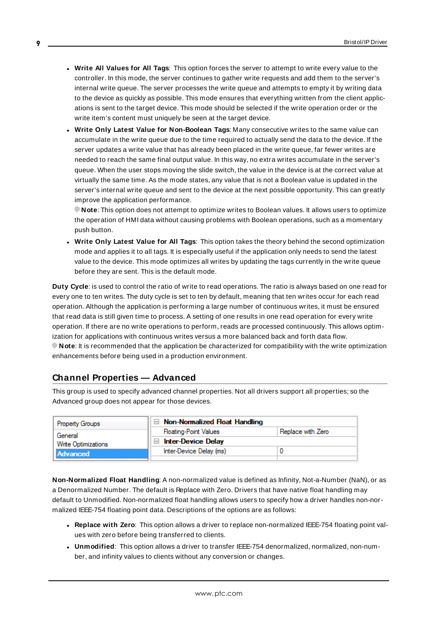- <sup>l</sup> **Write All Values for All Tags**: This option forces the server to attempt to write every value to the controller. In this mode, the server continues to gather write requests and add them to the server's internal write queue. The server processes the write queue and attempts to empty it by writing data to the device as quickly as possible. This mode ensures that everything written from the client applications is sent to the target device. This mode should be selected if the write operation order or the write item's content must uniquely be seen at the target device.
- <sup>l</sup> **Write Only Latest Value for Non-Boolean Tags**: Many consecutive writes to the same value can accumulate in the write queue due to the time required to actually send the data to the device. If the server updates a write value that has already been placed in the write queue, far fewer writes are needed to reach the same final output value. In this way, no extra writes accumulate in the server's queue. When the user stops moving the slide switch, the value in the device is at the correct value at virtually the same time. As the mode states, any value that is not a Boolean value is updated in the server's internal write queue and sent to the device at the next possible opportunity. This can greatly improve the application performance.

**Note**: This option does not attempt to optimize writes to Boolean values. It allows users to optimize the operation of HMI data without causing problems with Boolean operations, such as a momentary push button.

**• Write Only Latest Value for All Tags**: This option takes the theory behind the second optimization mode and applies it to all tags. It is especially useful if the application only needs to send the latest value to the device. This mode optimizes all writes by updating the tags currently in the write queue before they are sent. This is the default mode.

**Duty Cycle**: is used to control the ratio of write to read operations. The ratio is always based on one read for every one to ten writes. The duty cycle is set to ten by default, meaning that ten writes occur for each read operation. Although the application is performing a large number of continuous writes, it must be ensured that read data is still given time to process. A setting of one results in one read operation for every write operation. If there are no write operations to perform, reads are processed continuously. This allows optimization for applications with continuous writes versus a more balanced back and forth data flow. **Note**: It is recommended that the application be characterized for compatibility with the write optimization enhancements before being used in a production environment.

## <span id="page-8-0"></span>**Channel Properties — Advanced**

This group is used to specify advanced channel properties. Not all drivers support all properties; so the Advanced group does not appear for those devices.

| <b>Property Groups</b>     | $\Box$ Non-Normalized Float Handling |                   |
|----------------------------|--------------------------------------|-------------------|
| General                    | <b>Floating-Point Values</b>         | Replace with Zero |
| <b>Write Optimizations</b> | <b>Inter-Device Delay</b><br>ь       |                   |
| Advanced                   | Inter-Device Delay (ms)              |                   |
|                            |                                      |                   |

**Non-Normalized Float Handling**: A non-normalized value is defined as Infinity, Not-a-Number (NaN), or as a Denormalized Number. The default is Replace with Zero. Drivers that have native float handling may default to Unmodified. Non-normalized float handling allows users to specify how a driver handles non-normalized IEEE-754 floating point data. Descriptions of the options are as follows:

- <sup>l</sup> **Replace with Zero**: This option allows a driver to replace non-normalized IEEE-754 floating point values with zero before being transferred to clients.
- <sup>l</sup> **Unmodified**: This option allows a driver to transfer IEEE-754 denormalized, normalized, non-number, and infinity values to clients without any conversion or changes.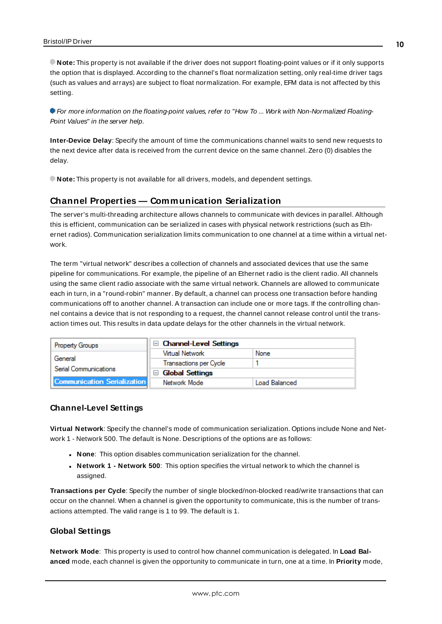**Note:** This property is not available if the driver does not support floating-point values or if it only supports the option that is displayed. According to the channel's float normalization setting, only real-time driver tags (such as values and arrays) are subject to float normalization. For example, EFM data is not affected by this setting.

**For more information on the floating-point values, refer to "How To ... Work with Non-Normalized Floating-**Point Values" in the server help.

**Inter-Device Delay**: Specify the amount of time the communications channel waits to send new requests to the next device after data is received from the current device on the same channel. Zero (0) disables the delay.

<span id="page-9-0"></span>**Note:** This property is not available for all drivers, models, and dependent settings.

#### **Channel Properties — Communication Serialization**

The server's multi-threading architecture allows channels to communicate with devices in parallel. Although this is efficient, communication can be serialized in cases with physical network restrictions (such as Ethernet radios). Communication serialization limits communication to one channel at a time within a virtual network.

The term "virtual network" describes a collection of channels and associated devices that use the same pipeline for communications. For example, the pipeline of an Ethernet radio is the client radio. All channels using the same client radio associate with the same virtual network. Channels are allowed to communicate each in turn, in a "round-robin" manner. By default, a channel can process one transaction before handing communications off to another channel. A transaction can include one or more tags. If the controlling channel contains a device that is not responding to a request, the channel cannot release control until the transaction times out. This results in data update delays for the other channels in the virtual network.

| <b>Property Groups</b>             | □ Channel-Level Settings |                      |
|------------------------------------|--------------------------|----------------------|
|                                    | Virtual Network          | None                 |
| General                            | Transactions per Cycle   |                      |
| Serial Communications              | $\Box$ Global Settings   |                      |
| <b>Communication Serialization</b> | Network Mode             | <b>Load Balanced</b> |

#### **Channel-Level Settings**

**Virtual Network**: Specify the channel's mode of communication serialization. Options include None and Network 1 - Network 500. The default is None. Descriptions of the options are as follows:

- **None**: This option disables communication serialization for the channel.
- <sup>l</sup> **Network 1 - Network 500**: This option specifies the virtual network to which the channel is assigned.

**Transactions per Cycle**: Specify the number of single blocked/non-blocked read/write transactions that can occur on the channel. When a channel is given the opportunity to communicate, this is the number of transactions attempted. The valid range is 1 to 99. The default is 1.

#### **Global Settings**

**Network Mode**: This property is used to control how channel communication is delegated. In **Load Balanced** mode, each channel is given the opportunity to communicate in turn, one at a time. In **Priority** mode,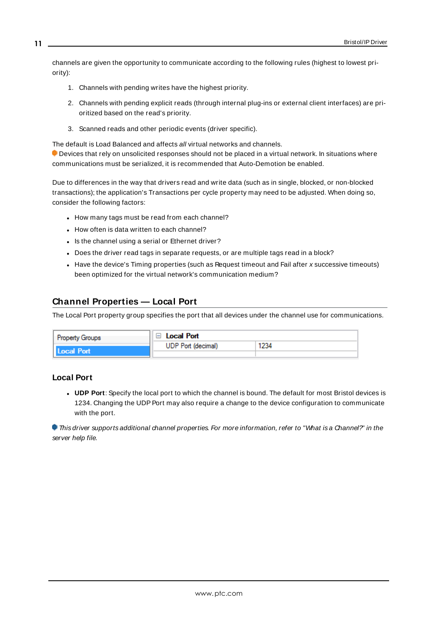channels are given the opportunity to communicate according to the following rules (highest to lowest priority):

- 1. Channels with pending writes have the highest priority.
- 2. Channels with pending explicit reads (through internal plug-ins or external client interfaces) are prioritized based on the read's priority.
- 3. Scanned reads and other periodic events (driver specific).

The default is Load Balanced and affects all virtual networks and channels.

 Devices that rely on unsolicited responses should not be placed in a virtual network. In situations where communications must be serialized, it is recommended that Auto-Demotion be enabled.

Due to differences in the way that drivers read and write data (such as in single, blocked, or non-blocked transactions); the application's Transactions per cycle property may need to be adjusted. When doing so, consider the following factors:

- How many tags must be read from each channel?
- How often is data written to each channel?
- Is the channel using a serial or Ethernet driver?
- Does the driver read tags in separate requests, or are multiple tags read in a block?
- Have the device's Timing properties (such as Request timeout and Fail after x successive timeouts) been optimized for the virtual network's communication medium?

## <span id="page-10-0"></span>**Channel Properties — Local Port**

The Local Port property group specifies the port that all devices under the channel use for communications.

| <b>Property Groups</b> | $\mathbb{I} \boxminus \mathsf{Local}$ Port |      |
|------------------------|--------------------------------------------|------|
|                        | <b>UDP Port (decimal)</b>                  | 1234 |
| Local Port             |                                            |      |

## **Local Port**

**UDP Port**: Specify the local port to which the channel is bound. The default for most Bristol devices is 1234. Changing the UDP Port may also require a change to the device configuration to communicate with the port.

This driver supports additional channel properties. For more information, refer to "What is a Channel?" in the server help file.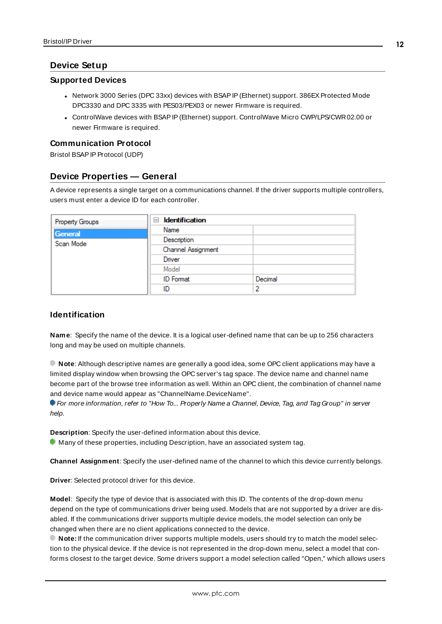## <span id="page-11-0"></span>**Device Setup**

#### **Supported Devices**

- Network 3000 Series (DPC 33xx) devices with BSAP IP (Ethernet) support. 386EX Protected Mode DPC3330 and DPC 3335 with PES03/PEX03 or newer Firmware is required.
- ControlWave devices with BSAP IP (Ethernet) support. ControlWave Micro CWP/LPS/CWR02.00 or newer Firmware is required.

### **Communication Protocol**

<span id="page-11-1"></span>Bristol BSAP IP Protocol (UDP)

## **Device Properties — General**

A device represents a single target on a communications channel. If the driver supports multiple controllers, users must enter a device ID for each controller.

| <b>Property Groups</b> | $\Box$ Identification |         |
|------------------------|-----------------------|---------|
| General                | Name                  |         |
| Scan Mode              | Description           |         |
|                        | Channel Assignment    |         |
|                        | Driver                |         |
|                        | Model                 |         |
|                        | <b>ID</b> Format      | Decimal |
|                        | ID                    | י       |

## **Identification**

<span id="page-11-5"></span>**Name**: Specify the name of the device. It is a logical user-defined name that can be up to 256 characters long and may be used on multiple channels.

**Note**: Although descriptive names are generally a good idea, some OPC client applications may have a limited display window when browsing the OPC server's tag space. The device name and channel name become part of the browse tree information as well. Within an OPC client, the combination of channel name and device name would appear as "ChannelName.DeviceName".

For more information, refer to "How To... Properly Name a Channel, Device, Tag, and Tag Group" in server help.

**Description**: Specify the user-defined information about this device.

<span id="page-11-2"></span> $\bullet$  Many of these properties, including Description, have an associated system tag.

<span id="page-11-3"></span>**Channel Assignment**: Specify the user-defined name of the channel to which this device currently belongs.

<span id="page-11-4"></span>**Driver**: Selected protocol driver for this device.

**Model**: Specify the type of device that is associated with this ID. The contents of the drop-down menu depend on the type of communications driver being used. Models that are not supported by a driver are disabled. If the communications driver supports multiple device models, the model selection can only be changed when there are no client applications connected to the device.

**Note:** If the communication driver supports multiple models, users should try to match the model selection to the physical device. If the device is not represented in the drop-down menu, select a model that conforms closest to the target device. Some drivers support a model selection called "Open," which allows users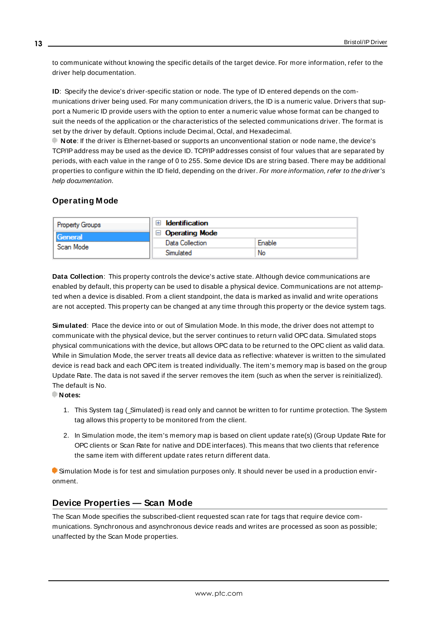to communicate without knowing the specific details of the target device. For more information, refer to the driver help documentation.

<span id="page-12-3"></span>**ID**: Specify the device's driver-specific station or node. The type of ID entered depends on the communications driver being used. For many communication drivers, the ID is a numeric value. Drivers that support a Numeric ID provide users with the option to enter a numeric value whose format can be changed to suit the needs of the application or the characteristics of the selected communications driver. The format is set by the driver by default. Options include Decimal, Octal, and Hexadecimal.

**Note**: If the driver is Ethernet-based or supports an unconventional station or node name, the device's TCP/IPaddress may be used as the device ID. TCP/IPaddresses consist of four values that are separated by periods, with each value in the range of 0 to 255. Some device IDs are string based. There may be additional properties to configure within the ID field, depending on the driver. For more information, refer to the driver's help documentation.

## <span id="page-12-0"></span>**Operating Mode**

| Property Groups      | <b>Identification</b> |        |
|----------------------|-----------------------|--------|
| General<br>Scan Mode | <b>Operating Mode</b> |        |
|                      | Data Collection       | Enable |
|                      | Simulated             | No     |

<span id="page-12-2"></span>**Data Collection**: This property controls the device's active state. Although device communications are enabled by default, this property can be used to disable a physical device. Communications are not attempted when a device is disabled. From a client standpoint, the data is marked as invalid and write operations are not accepted. This property can be changed at any time through this property or the device system tags.

<span id="page-12-4"></span>**Simulated**: Place the device into or out of Simulation Mode. In this mode, the driver does not attempt to communicate with the physical device, but the server continues to return valid OPC data. Simulated stops physical communications with the device, but allows OPC data to be returned to the OPC client as valid data. While in Simulation Mode, the server treats all device data as reflective: whatever is written to the simulated device is read back and each OPC item is treated individually. The item's memory map is based on the group Update Rate. The data is not saved if the server removes the item (such as when the server is reinitialized). The default is No.

**Notes:**

- 1. This System tag ( Simulated) is read only and cannot be written to for runtime protection. The System tag allows this property to be monitored from the client.
- 2. In Simulation mode, the item's memory map is based on client update rate(s) (Group Update Rate for OPC clients or Scan Rate for native and DDEinterfaces). This means that two clients that reference the same item with different update rates return different data.

 Simulation Mode is for test and simulation purposes only. It should never be used in a production environment.

## <span id="page-12-1"></span>**Device Properties — Scan Mode**

The Scan Mode specifies the subscribed-client requested scan rate for tags that require device communications. Synchronous and asynchronous device reads and writes are processed as soon as possible; unaffected by the Scan Mode properties.

**13**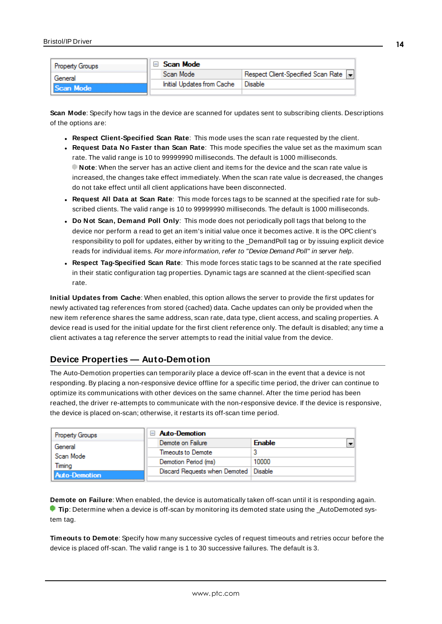| <b>Property Groups</b> |  | Scan Mode                  |                                    |  |  |
|------------------------|--|----------------------------|------------------------------------|--|--|
| General                |  | Scan Mode                  | Respect Client-Specified Scan Rate |  |  |
| Scan Mode              |  | Initial Updates from Cache | Disable                            |  |  |
|                        |  |                            |                                    |  |  |

<span id="page-13-5"></span>**Scan Mode**: Specify how tags in the device are scanned for updates sent to subscribing clients. Descriptions of the options are:

- <sup>l</sup> **Respect Client-Specified Scan Rate**: This mode uses the scan rate requested by the client.
- <sup>l</sup> **Request Data No Faster than Scan Rate**: This mode specifies the value set as the maximum scan rate. The valid range is 10 to 99999990 milliseconds. The default is 1000 milliseconds. **Note**: When the server has an active client and items for the device and the scan rate value is increased, the changes take effect immediately. When the scan rate value is decreased, the changes do not take effect until all client applications have been disconnected.
- <sup>l</sup> **Request All Data at Scan Rate**: This mode forces tags to be scanned at the specified rate for subscribed clients. The valid range is 10 to 99999990 milliseconds. The default is 1000 milliseconds.
- <span id="page-13-2"></span><sup>l</sup> **Do Not Scan, Demand Poll Only**: This mode does not periodically poll tags that belong to the device nor perform a read to get an item's initial value once it becomes active. It is the OPC client's responsibility to poll for updates, either by writing to the \_DemandPoll tag or by issuing explicit device reads for individual items. For more information, refer to "Device Demand Poll" in server help.
- <span id="page-13-4"></span><sup>l</sup> **Respect Tag-Specified Scan Rate**: This mode forces static tags to be scanned at the rate specified in their static configuration tag properties. Dynamic tags are scanned at the client-specified scan rate.

<span id="page-13-3"></span>**Initial Updates from Cache**: When enabled, this option allows the server to provide the first updates for newly activated tag references from stored (cached) data. Cache updates can only be provided when the new item reference shares the same address, scan rate, data type, client access, and scaling properties. A device read is used for the initial update for the first client reference only. The default is disabled; any time a client activates a tag reference the server attempts to read the initial value from the device.

# <span id="page-13-0"></span>**Device Properties — Auto-Demotion**

The Auto-Demotion properties can temporarily place a device off-scan in the event that a device is not responding. By placing a non-responsive device offline for a specific time period, the driver can continue to optimize its communications with other devices on the same channel. After the time period has been reached, the driver re-attempts to communicate with the non-responsive device. If the device is responsive, the device is placed on-scan; otherwise, it restarts its off-scan time period.

| <b>Property Groups</b>                      | <b>Auto-Demotion</b>                    |               |
|---------------------------------------------|-----------------------------------------|---------------|
| General                                     | Demote on Failure                       | <b>Enable</b> |
| Scan Mode<br>Timina<br><b>Auto-Demotion</b> | Timeouts to Demote                      |               |
|                                             | Demotion Period (ms)                    | 10000         |
|                                             | Discard Requests when Demoted   Disable |               |
|                                             |                                         |               |

<span id="page-13-1"></span>**Demote on Failure**: When enabled, the device is automatically taken off-scan until it is responding again. **Tip:** Determine when a device is off-scan by monitoring its demoted state using the AutoDemoted system tag.

<span id="page-13-6"></span>**Timeouts to Demote**: Specify how many successive cycles of request timeouts and retries occur before the device is placed off-scan. The valid range is 1 to 30 successive failures. The default is 3.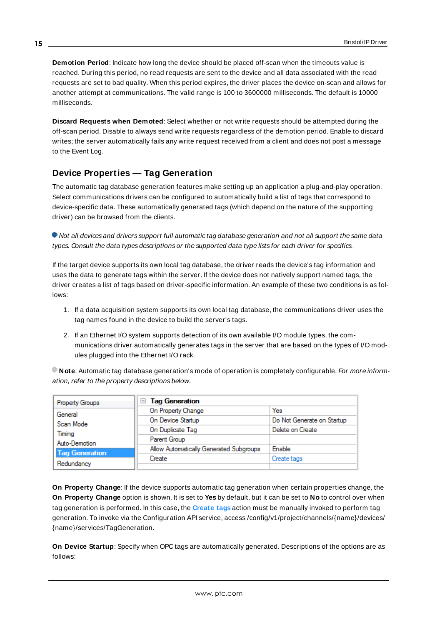<span id="page-14-1"></span>**Demotion Period**: Indicate how long the device should be placed off-scan when the timeouts value is reached. During this period, no read requests are sent to the device and all data associated with the read requests are set to bad quality. When this period expires, the driver places the device on-scan and allows for another attempt at communications. The valid range is 100 to 3600000 milliseconds. The default is 10000 milliseconds.

<span id="page-14-2"></span>**Discard Requests when Demoted**: Select whether or not write requests should be attempted during the off-scan period. Disable to always send write requests regardless of the demotion period. Enable to discard writes; the server automatically fails any write request received from a client and does not post a message to the Event Log.

# <span id="page-14-0"></span>**Device Properties — Tag Generation**

The automatic tag database generation features make setting up an application a plug-and-play operation. Select communications drivers can be configured to automatically build a list of tags that correspond to device-specific data. These automatically generated tags (which depend on the nature of the supporting driver) can be browsed from the clients.

Not all devices and drivers support full automatic tag database generation and not all support the same data types. Consult the data types descriptions or the supported data type lists for each driver for specifics.

If the target device supports its own local tag database, the driver reads the device's tag information and uses the data to generate tags within the server. If the device does not natively support named tags, the driver creates a list of tags based on driver-specific information. An example of these two conditions is as follows:

- 1. If a data acquisition system supports its own local tag database, the communications driver uses the tag names found in the device to build the server's tags.
- 2. If an Ethernet I/O system supports detection of its own available I/O module types, the communications driver automatically generates tags in the server that are based on the types of I/O modules plugged into the Ethernet I/O rack.

**Note**: Automatic tag database generation's mode of operation is completely configurable. For more information, refer to the property descriptions below.

| Property Groups                                                                        | <b>Tag Generation</b><br>$=$            |                            |  |  |
|----------------------------------------------------------------------------------------|-----------------------------------------|----------------------------|--|--|
| General<br>Scan Mode<br>Timina<br>Auto-Demotion<br><b>Tag Generation</b><br>Redundancy | On Property Change                      | Yes                        |  |  |
|                                                                                        | On Device Startup                       | Do Not Generate on Startup |  |  |
|                                                                                        | On Duplicate Tag                        | Delete on Create           |  |  |
|                                                                                        | Parent Group                            |                            |  |  |
|                                                                                        | Allow Automatically Generated Subgroups | <b>Enable</b>              |  |  |
|                                                                                        | Create                                  | Create tags                |  |  |
|                                                                                        |                                         |                            |  |  |

<span id="page-14-4"></span>**On Property Change**: If the device supports automatic tag generation when certain properties change, the **On Property Change** option is shown. It is set to **Yes** by default, but it can be set to **No** to control over when tag generation is performed. In this case, the **Create tags** action must be manually invoked to perform tag generation. To invoke via the Configuration API service, access /config/v1/project/channels/{name}/devices/ {name}/services/TagGeneration.

<span id="page-14-3"></span>**On Device Startup**: Specify when OPC tags are automatically generated. Descriptions of the options are as follows: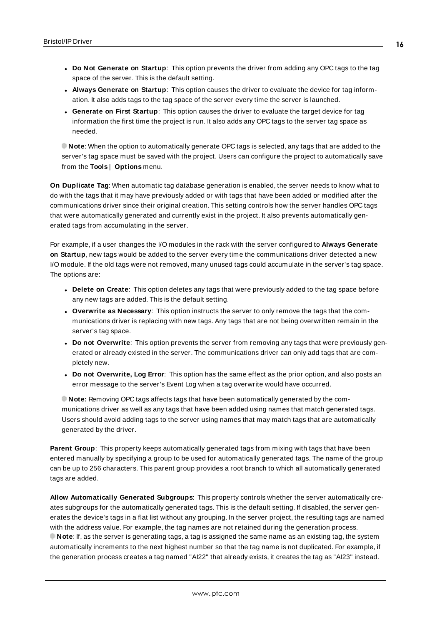- <span id="page-15-2"></span><sup>l</sup> **Always Generate on Startup**: This option causes the driver to evaluate the device for tag information. It also adds tags to the tag space of the server every time the server is launched.
- <sup>l</sup> **Generate on First Startup**: This option causes the driver to evaluate the target device for tag information the first time the project is run. It also adds any OPC tags to the server tag space as needed.

**Note**: When the option to automatically generate OPC tags is selected, any tags that are added to the server's tag space must be saved with the project. Users can configure the project to automatically save from the **Tools** | **Options** menu.

<span id="page-15-3"></span>**On Duplicate Tag**: When automatic tag database generation is enabled, the server needs to know what to do with the tags that it may have previously added or with tags that have been added or modified after the communications driver since their original creation. This setting controls how the server handles OPC tags that were automatically generated and currently exist in the project. It also prevents automatically generated tags from accumulating in the server.

For example, if a user changes the I/O modules in the rack with the server configured to **Always Generate on Startup**, new tags would be added to the server every time the communications driver detected a new I/O module. If the old tags were not removed, many unused tags could accumulate in the server's tag space. The options are:

- <span id="page-15-1"></span>**• Delete on Create**: This option deletes any tags that were previously added to the tag space before any new tags are added. This is the default setting.
- <span id="page-15-4"></span><sup>l</sup> **Overwrite as Necessary**: This option instructs the server to only remove the tags that the communications driver is replacing with new tags. Any tags that are not being overwritten remain in the server's tag space.
- **Do not Overwrite**: This option prevents the server from removing any tags that were previously generated or already existed in the server. The communications driver can only add tags that are completely new.
- <sup>l</sup> **Do not Overwrite, Log Error**: This option has the same effect as the prior option, and also posts an error message to the server's Event Log when a tag overwrite would have occurred.

**Note:** Removing OPC tags affects tags that have been automatically generated by the communications driver as well as any tags that have been added using names that match generated tags. Users should avoid adding tags to the server using names that may match tags that are automatically generated by the driver.

<span id="page-15-5"></span>**Parent Group**: This property keeps automatically generated tags from mixing with tags that have been entered manually by specifying a group to be used for automatically generated tags. The name of the group can be up to 256 characters. This parent group provides a root branch to which all automatically generated tags are added.

<span id="page-15-0"></span>**Allow Automatically Generated Subgroups**: This property controls whether the server automatically creates subgroups for the automatically generated tags. This is the default setting. If disabled, the server generates the device's tags in a flat list without any grouping. In the server project, the resulting tags are named with the address value. For example, the tag names are not retained during the generation process. **Note**: If, as the server is generating tags, a tag is assigned the same name as an existing tag, the system automatically increments to the next highest number so that the tag name is not duplicated. For example, if the generation process creates a tag named "AI22" that already exists, it creates the tag as "AI23" instead.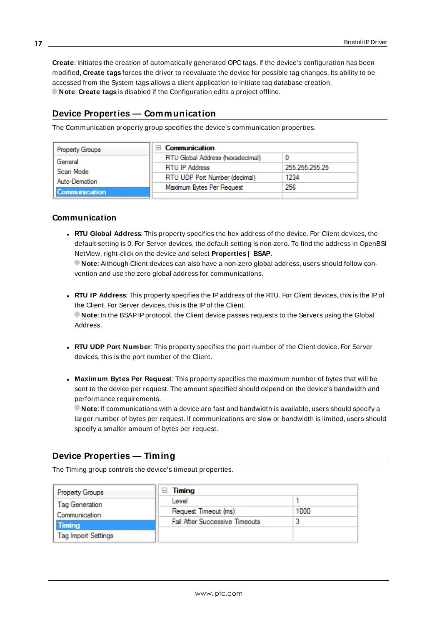<span id="page-16-2"></span>**Create**: Initiates the creation of automatically generated OPC tags. If the device's configuration has been modified, **Create tags** forces the driver to reevaluate the device for possible tag changes. Its ability to be accessed from the System tags allows a client application to initiate tag database creation. **Note**: **Create tags** is disabled if the Configuration edits a project offline.

## <span id="page-16-0"></span>**Device Properties — Communication**

The Communication property group specifies the device's communication properties.

| Property Groups                                    | Communication                    |                |  |
|----------------------------------------------------|----------------------------------|----------------|--|
| General                                            | RTU Global Address (hexadecimal) |                |  |
| Scan Mode<br>Auto-Demotion<br><b>Communication</b> | <b>RTU IP Address</b>            | 255.255.255.25 |  |
|                                                    | RTU UDP Port Number (decimal)    | 1234           |  |
|                                                    | Maximum Bytes Per Request        | 256            |  |
|                                                    |                                  |                |  |

#### **Communication**

<sup>l</sup> **RTU Global Address**: This property specifies the hex address of the device. For Client devices, the default setting is 0. For Server devices, the default setting is non-zero. To find the address in OpenBSI NetView, right-click on the device and select **Properties** | **BSAP**.

**Note**: Although Client devices can also have a non-zero global address, users should follow convention and use the zero global address for communications.

- <sup>l</sup> **RTU IP Address**: This property specifies the IP address of the RTU. For Client devices, this is the IPof the Client. For Server devices, this is the IPof the Client. **Note**: In the BSAPIPprotocol, the Client device passes requests to the Servers using the Global Address.
- <sup>l</sup> **RTU UDP Port Number**: This property specifies the port number of the Client device. For Server devices, this is the port number of the Client.
- <sup>l</sup> **Maximum Bytes Per Request**: This property specifies the maximum number of bytes that will be sent to the device per request. The amount specified should depend on the device's bandwidth and performance requirements.

**Note**: If communications with a device are fast and bandwidth is available, users should specify a larger number of bytes per request. If communications are slow or bandwidth is limited, users should specify a smaller amount of bytes per request.

## <span id="page-16-1"></span>**Device Properties — Timing**

The Timing group controls the device's timeout properties.

| <b>Property Groups</b>     | Timing<br>E                           |      |
|----------------------------|---------------------------------------|------|
| Tag Generation             | Level                                 |      |
| Communication              | Request Timeout (ms)                  | 1000 |
| <b>Timing</b>              | <b>Fail After Successive Timeouts</b> | 3    |
| <b>Tag Import Settings</b> |                                       |      |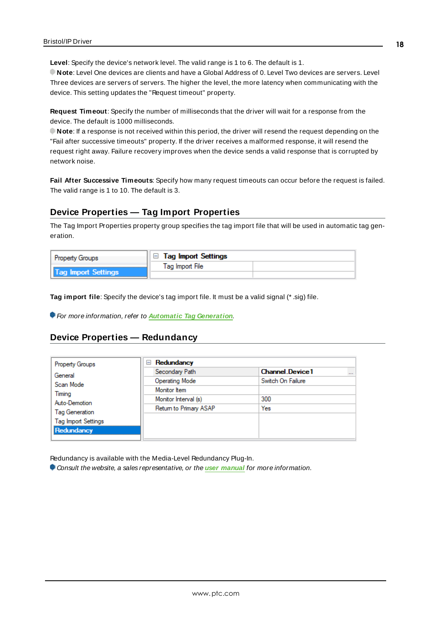**Level**: Specify the device's network level. The valid range is 1 to 6. The default is 1.

**Note**: Level One devices are clients and have a Global Address of 0. Level Two devices are servers. Level Three devices are servers of servers. The higher the level, the more latency when communicating with the device. This setting updates the "Request timeout" property.

**Request Timeout**: Specify the number of milliseconds that the driver will wait for a response from the device. The default is 1000 milliseconds.

**Note**: If a response is not received within this period, the driver will resend the request depending on the "Fail after successive timeouts" property. If the driver receives a malformed response, it will resend the request right away. Failure recovery improves when the device sends a valid response that is corrupted by network noise.

**Fail After Successive Timeouts**: Specify how many request timeouts can occur before the request is failed. The valid range is 1 to 10. The default is 3.

## <span id="page-17-0"></span>**Device Properties — Tag Import Properties**

The Tag Import Properties property group specifies the tag import file that will be used in automatic tag generation.

| <b>Property Groups</b> | $\parallel$ $\Box$ Tag Import Settings |  |
|------------------------|----------------------------------------|--|
|                        | Tag Import File                        |  |
| Tag Import Settings    |                                        |  |

**Tag import file**: Specify the device's tag import file. It must be a valid signal (\* .sig) file.

<span id="page-17-1"></span>For more information, refer to **Automatic Tag [Generation](#page-30-0)**.

#### **Device Properties — Redundancy**

| <b>Property Groups</b>                                                   | Redundancy<br>$=$      |                                    |
|--------------------------------------------------------------------------|------------------------|------------------------------------|
| General<br>Scan Mode<br>Timing<br>Auto-Demotion<br><b>Tag Generation</b> | Secondary Path         | <b>Channel Device1</b><br>$\cdots$ |
|                                                                          | Operating Mode         | Switch On Failure                  |
|                                                                          | Monitor Item           |                                    |
|                                                                          | Monitor Interval (s)   | 300                                |
|                                                                          | Return to Primary ASAP | Yes                                |
| <b>Tag Import Settings</b>                                               |                        |                                    |
| Redundancy                                                               |                        |                                    |

Redundancy is available with the Media-Level Redundancy Plug-In.

Consult the website, a sales representative, or the **user [manual](https://www.kepware.com/getattachment/35461efd-b53a-4219-a109-a89fad20b230/media-level-redundancy-manual.pdf)** for more information.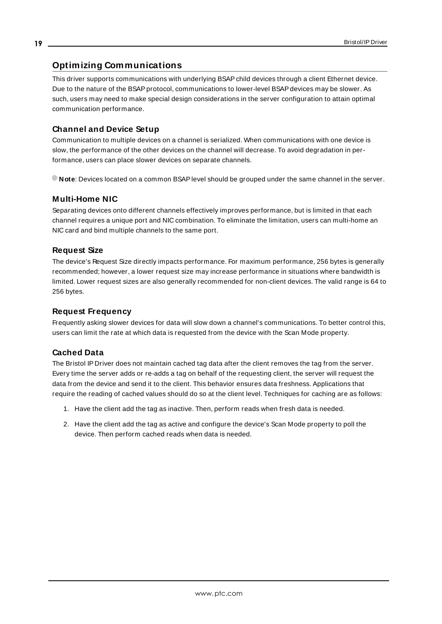## <span id="page-18-0"></span>**Optimizing Communications**

This driver supports communications with underlying BSAPchild devices through a client Ethernet device. Due to the nature of the BSAP protocol, communications to lower-level BSAP devices may be slower. As such, users may need to make special design considerations in the server configuration to attain optimal communication performance.

#### **Channel and Device Setup**

Communication to multiple devices on a channel is serialized. When communications with one device is slow, the performance of the other devices on the channel will decrease. To avoid degradation in performance, users can place slower devices on separate channels.

**Note**: Devices located on a common BSAPlevel should be grouped under the same channel in the server.

#### **Multi-Home NIC**

Separating devices onto different channels effectively improves performance, but is limited in that each channel requires a unique port and NIC combination. To eliminate the limitation, users can multi-home an NIC card and bind multiple channels to the same port.

#### **Request Size**

The device's Request Size directly impacts performance. For maximum performance, 256 bytes is generally recommended; however, a lower request size may increase performance in situations where bandwidth is limited. Lower request sizes are also generally recommended for non-client devices. The valid range is 64 to 256 bytes.

#### **Request Frequency**

Frequently asking slower devices for data will slow down a channel's communications. To better control this, users can limit the rate at which data is requested from the device with the Scan Mode property.

#### **Cached Data**

The Bristol IP Driver does not maintain cached tag data after the client removes the tag from the server. Every time the server adds or re-adds a tag on behalf of the requesting client, the server will request the data from the device and send it to the client. This behavior ensures data freshness. Applications that require the reading of cached values should do so at the client level. Techniques for caching are as follows:

- 1. Have the client add the tag as inactive. Then, perform reads when fresh data is needed.
- 2. Have the client add the tag as active and configure the device's Scan Mode property to poll the device. Then perform cached reads when data is needed.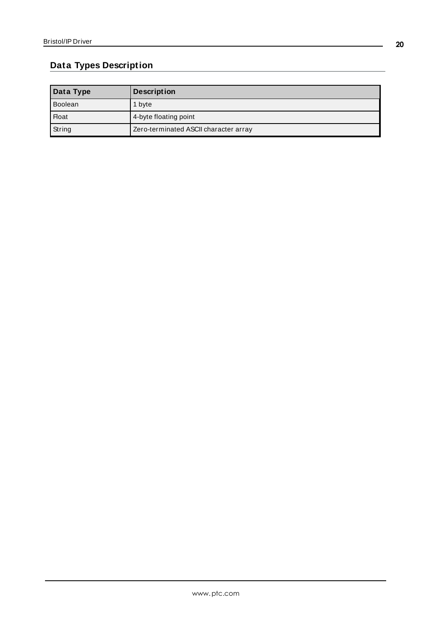# <span id="page-19-0"></span>**Data Types Description**

| Data Type    | <b>Description</b>                    |
|--------------|---------------------------------------|
| Boolean      | 1 byte                                |
| <b>Float</b> | 4-byte floating point                 |
| String       | Zero-terminated ASCII character array |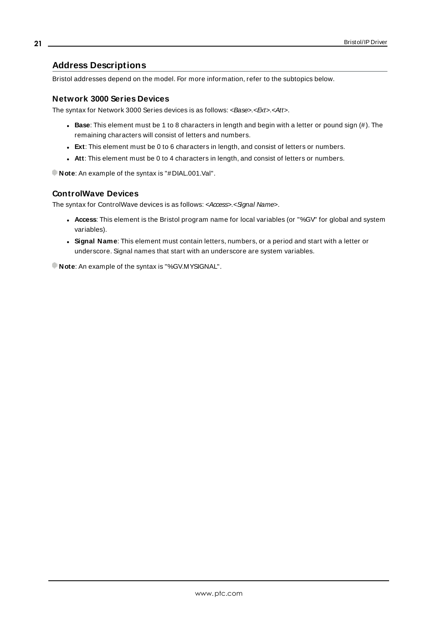### <span id="page-20-0"></span>**Address Descriptions**

Bristol addresses depend on the model. For more information, refer to the subtopics below.

#### **Network 3000 Series Devices**

The syntax for Network 3000 Series devices is as follows: <Base>.<Ext>.<Att>.

- Base: This element must be 1 to 8 characters in length and begin with a letter or pound sign (#). The remaining characters will consist of letters and numbers.
- **Ext:** This element must be 0 to 6 characters in length, and consist of letters or numbers.
- **Att:** This element must be 0 to 4 characters in length, and consist of letters or numbers.

**Note**: An example of the syntax is "#DIAL.001.Val".

#### **ControlWave Devices**

The syntax for ControlWave devices is as follows: <Access>.<Signal Name>.

- **Access**: This element is the Bristol program name for local variables (or "%GV" for global and system variables).
- **Signal Name**: This element must contain letters, numbers, or a period and start with a letter or underscore. Signal names that start with an underscore are system variables.

**Note**: An example of the syntax is "%GV.MYSIGNAL".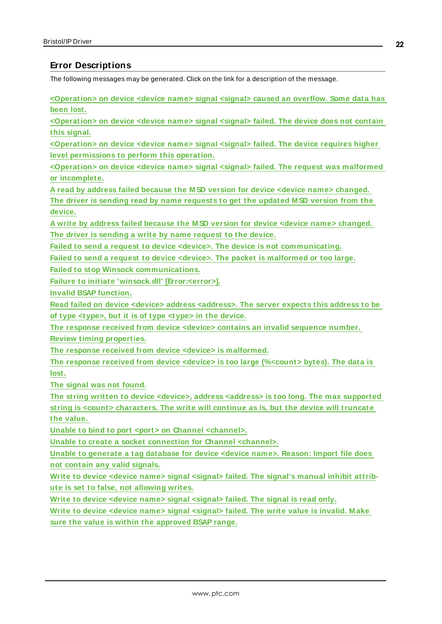## <span id="page-21-0"></span>**Error Descriptions**

The following messages may be generated. Click on the link for a description of the message.

**[<Operation>](#page-22-0) on device <device name> signal <signal> caused an overflow. Some data has [been](#page-22-0) lost.**

**[<Operation>](#page-22-1) on device <device name> signal <signal> failed. The device does not contain this [signal.](#page-22-1)**

**[<Operation>](#page-22-2) on device <device name> signal <signal> failed. The device requires higher level [permissions](#page-22-2) to perform this operation.**

**[<Operation>](#page-23-0) on device <device name> signal <signal> failed. The request was malformed or [incomplete.](#page-23-0)**

**A read by address failed because the M SD version for device <device name> [changed.](#page-23-1) The driver is sending read by name [requests](#page-23-1) to get the updated M SD version from the [device.](#page-23-1)**

**A write by address failed because the M SD version for device <device name> [changed.](#page-23-2) The driver is [sending](#page-23-2) a write by name request to the device.**

**Failed to send a request to device <device>. The device is not [communicating.](#page-24-0)**

**Failed to send a request to device <device>. The packet is [malformed](#page-24-1) or too large.**

**Failed to stop Winsock [communications.](#page-25-0)**

**Failure to initiate 'winsock.dll' [\[Error:<error>\].](#page-25-1)**

**Invalid BSAP [function.](#page-25-2)**

**Read failed on device <device> address [<address>.](#page-26-0) The server expects this address to be of type [<type>,](#page-26-0) but it is of type <type> in the device.**

**The response received from device <device> contains an invalid [sequence](#page-26-1) number.**

**Review timing [properties.](#page-26-1)**

**The response received from device <device> is [malformed.](#page-26-2)**

**The response received from device <device> is too large [\(%<count>](#page-27-0) bytes). The data is [lost.](#page-27-0)**

**The signal was not [found.](#page-27-1)**

**The string written to device <device>, address <address> is too long. The max [supported](#page-27-2) string is <count> [characters.](#page-27-2) The write will continue as is, but the device will truncate the [value.](#page-27-2)**

**Unable to bind to port <port> on Channel [<channel>.](#page-28-0)**

**Unable to create a socket [connection](#page-28-1) for Channel <channel>.**

**Unable to [generate](#page-28-2) a tag database for device <device name>. Reason: Import file does not contain any valid [signals.](#page-28-2)**

**Write to device <device name> signal [<signal>](#page-29-0) failed. The signal's manual inhibit attribute is set to false, not [allowing](#page-29-0) writes.**

**Write to device <device name> signal [<signal>](#page-29-1) failed. The signal is read only.**

**Write to device <device name> signal [<signal>](#page-29-2) failed. The write value is invalid. M ake sure the value is within the [approved](#page-29-2) BSAP range.**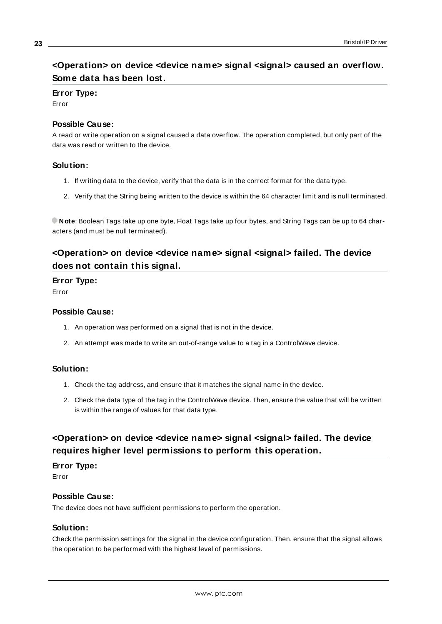# <span id="page-22-0"></span>**<Operation> on device <device name> signal <signal> caused an overflow. Some data has been lost.**

## **Error Type:**

Error

#### **Possible Cause:**

A read or write operation on a signal caused a data overflow. The operation completed, but only part of the data was read or written to the device.

### **Solution:**

- 1. If writing data to the device, verify that the data is in the correct format for the data type.
- 2. Verify that the String being written to the device is within the 64 character limit and is null terminated.

**Note**: Boolean Tags take up one byte, Float Tags take up four bytes, and String Tags can be up to 64 characters (and must be null terminated).

# <span id="page-22-1"></span>**<Operation> on device <device name> signal <signal> failed. The device does not contain this signal.**

### **Error Type:**

Error

#### **Possible Cause:**

- 1. An operation was performed on a signal that is not in the device.
- 2. An attempt was made to write an out-of-range value to a tag in a ControlWave device.

## **Solution:**

- 1. Check the tag address, and ensure that it matches the signal name in the device.
- 2. Check the data type of the tag in the ControlWave device. Then, ensure the value that will be written is within the range of values for that data type.

# <span id="page-22-2"></span>**<Operation> on device <device name> signal <signal> failed. The device requires higher level permissions to perform this operation.**

## **Error Type:**

Error

#### **Possible Cause:**

The device does not have sufficient permissions to perform the operation.

#### **Solution:**

Check the permission settings for the signal in the device configuration. Then, ensure that the signal allows the operation to be performed with the highest level of permissions.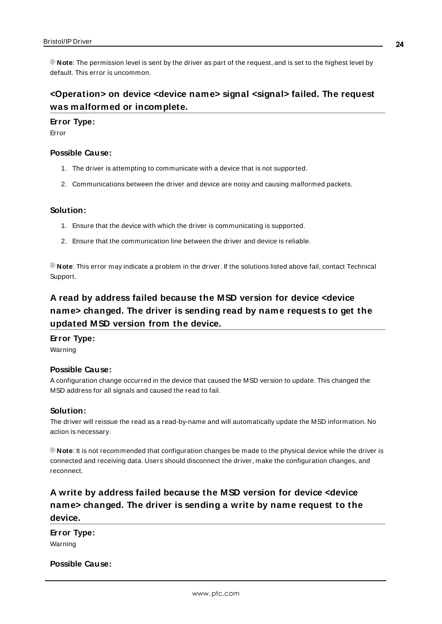**Note**: The permission level is sent by the driver as part of the request, and is set to the highest level by default. This error is uncommon.

# <span id="page-23-0"></span>**<Operation> on device <device name> signal <signal> failed. The request was malformed or incomplete.**

#### **Error Type:**

Error

#### **Possible Cause:**

- 1. The driver is attempting to communicate with a device that is not supported.
- 2. Communications between the driver and device are noisy and causing malformed packets.

#### **Solution:**

- 1. Ensure that the device with which the driver is communicating is supported.
- 2. Ensure that the communication line between the driver and device is reliable.

**Note**: This error may indicate a problem in the driver. If the solutions listed above fail, contact Technical Support.

# <span id="page-23-1"></span>**A read by address failed because the MSD version for device <device name> changed. The driver is sending read by name requests to get the updated MSD version from the device.**

## **Error Type:**

Warning

## **Possible Cause:**

A configuration change occurred in the device that caused the MSD version to update. This changed the MSD address for all signals and caused the read to fail.

#### **Solution:**

The driver will reissue the read as a read-by-name and will automatically update the MSD information. No action is necessary.

**Note**: It is not recommended that configuration changes be made to the physical device while the driver is connected and receiving data. Users should disconnect the driver, make the configuration changes, and reconnect.

# <span id="page-23-2"></span>**A write by address failed because the MSD version for device <device name> changed. The driver is sending a write by name request to the device.**

## **Error Type:** Warning

#### **Possible Cause:**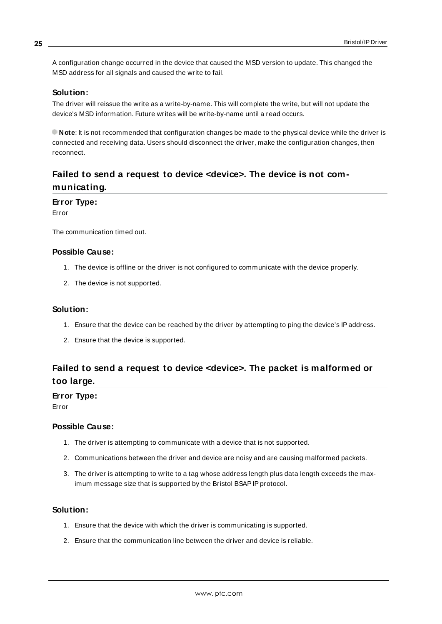A configuration change occurred in the device that caused the MSD version to update. This changed the MSD address for all signals and caused the write to fail.

#### **Solution:**

The driver will reissue the write as a write-by-name. This will complete the write, but will not update the device's MSD information. Future writes will be write-by-name until a read occurs.

**Note**: It is not recommended that configuration changes be made to the physical device while the driver is connected and receiving data. Users should disconnect the driver, make the configuration changes, then reconnect.

# <span id="page-24-0"></span>**Failed to send a request to device <device>. The device is not communicating.**

#### **Error Type:**

Error

The communication timed out.

#### **Possible Cause:**

- 1. The device is offline or the driver is not configured to communicate with the device properly.
- 2. The device is not supported.

#### **Solution:**

- 1. Ensure that the device can be reached by the driver by attempting to ping the device's IPaddress.
- 2. Ensure that the device is supported.

# <span id="page-24-1"></span>**Failed to send a request to device <device>. The packet is malformed or too large.**

#### **Error Type:**

Error

#### **Possible Cause:**

- 1. The driver is attempting to communicate with a device that is not supported.
- 2. Communications between the driver and device are noisy and are causing malformed packets.
- 3. The driver is attempting to write to a tag whose address length plus data length exceeds the maximum message size that is supported by the Bristol BSAP IP protocol.

#### **Solution:**

- 1. Ensure that the device with which the driver is communicating is supported.
- 2. Ensure that the communication line between the driver and device is reliable.

**25**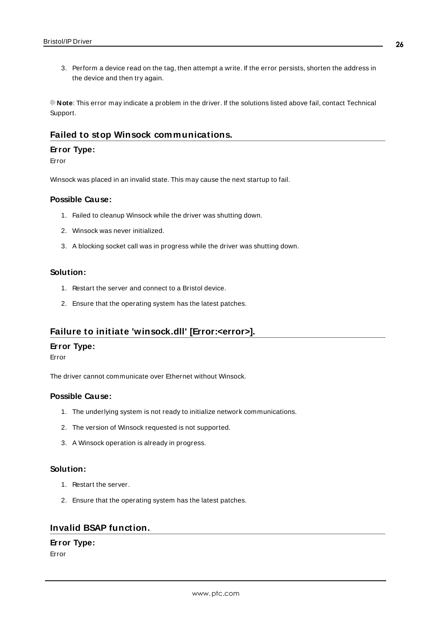3. Perform a device read on the tag, then attempt a write. If the error persists, shorten the address in the device and then try again.

**Note**: This error may indicate a problem in the driver. If the solutions listed above fail, contact Technical Support.

## <span id="page-25-0"></span>**Failed to stop Winsock communications.**

#### **Error Type:**

#### Error

Winsock was placed in an invalid state. This may cause the next startup to fail.

#### **Possible Cause:**

- 1. Failed to cleanup Winsock while the driver was shutting down.
- 2. Winsock was never initialized.
- 3. A blocking socket call was in progress while the driver was shutting down.

#### **Solution:**

- 1. Restart the server and connect to a Bristol device.
- 2. Ensure that the operating system has the latest patches.

## <span id="page-25-1"></span>**Failure to initiate 'winsock.dll' [Error:<error>].**

#### **Error Type:**

Error

The driver cannot communicate over Ethernet without Winsock.

## **Possible Cause:**

- 1. The underlying system is not ready to initialize network communications.
- 2. The version of Winsock requested is not supported.
- 3. A Winsock operation is already in progress.

#### **Solution:**

- 1. Restart the server.
- 2. Ensure that the operating system has the latest patches.

## <span id="page-25-2"></span>**Invalid BSAP function.**

## **Error Type:**

Error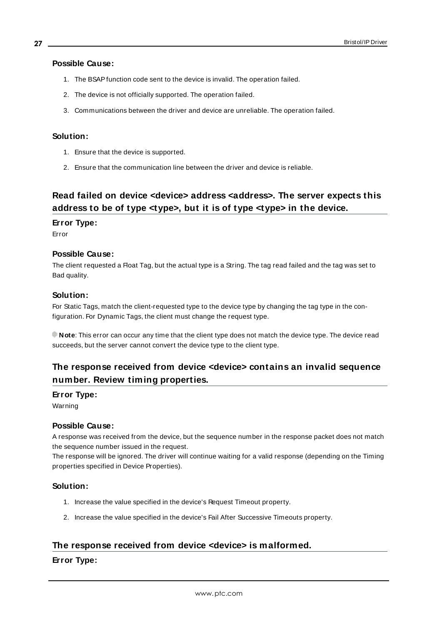#### **Possible Cause:**

- 1. The BSAPfunction code sent to the device is invalid. The operation failed.
- 2. The device is not officially supported. The operation failed.
- 3. Communications between the driver and device are unreliable. The operation failed.

#### **Solution:**

- 1. Ensure that the device is supported.
- 2. Ensure that the communication line between the driver and device is reliable.

# <span id="page-26-0"></span>**Read failed on device <device> address <address>. The server expects this address to be of type <type>, but it is of type <type> in the device.**

#### **Error Type:**

Error

#### **Possible Cause:**

The client requested a Float Tag, but the actual type is a String. The tag read failed and the tag was set to Bad quality.

#### **Solution:**

For Static Tags, match the client-requested type to the device type by changing the tag type in the configuration. For Dynamic Tags, the client must change the request type.

**Note**: This error can occur any time that the client type does not match the device type. The device read succeeds, but the server cannot convert the device type to the client type.

# <span id="page-26-1"></span>**The response received from device <device> contains an invalid sequence number. Review timing properties.**

#### **Error Type:**

Warning

#### **Possible Cause:**

A response was received from the device, but the sequence number in the response packet does not match the sequence number issued in the request.

The response will be ignored. The driver will continue waiting for a valid response (depending on the Timing properties specified in Device Properties).

#### **Solution:**

- 1. Increase the value specified in the device's Request Timeout property.
- 2. Increase the value specified in the device's Fail After Successive Timeouts property.

## <span id="page-26-2"></span>**The response received from device <device> is malformed.**

#### **Error Type:**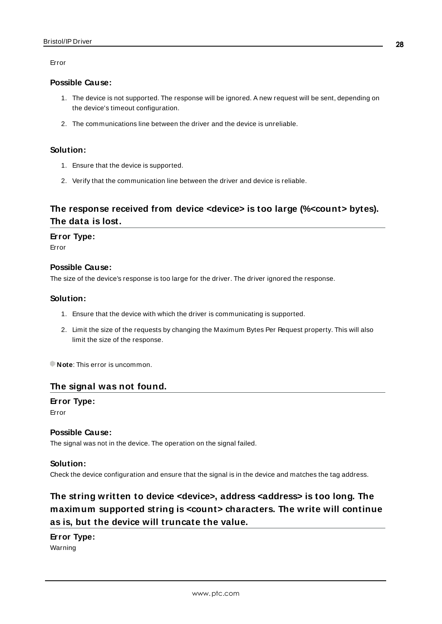Error

#### **Possible Cause:**

- 1. The device is not supported. The response will be ignored. A new request will be sent, depending on the device's timeout configuration.
- 2. The communications line between the driver and the device is unreliable.

#### **Solution:**

- 1. Ensure that the device is supported.
- 2. Verify that the communication line between the driver and device is reliable.

# <span id="page-27-0"></span>**The response received from device <device> is too large (%<count> bytes). The data is lost.**

#### **Error Type:**

Error

#### **Possible Cause:**

The size of the device's response is too large for the driver. The driver ignored the response.

#### **Solution:**

- 1. Ensure that the device with which the driver is communicating is supported.
- 2. Limit the size of the requests by changing the Maximum Bytes Per Request property. This will also limit the size of the response.

<span id="page-27-1"></span>**Note**: This error is uncommon.

#### **The signal was not found.**

**Error Type:** Error

#### **Possible Cause:**

The signal was not in the device. The operation on the signal failed.

#### **Solution:**

<span id="page-27-2"></span>Check the device configuration and ensure that the signal is in the device and matches the tag address.

# **The string written to device <device>, address <address> is too long. The maximum supported string is <count> characters. The write will continue as is, but the device will truncate the value.**

#### **Error Type:**

Warning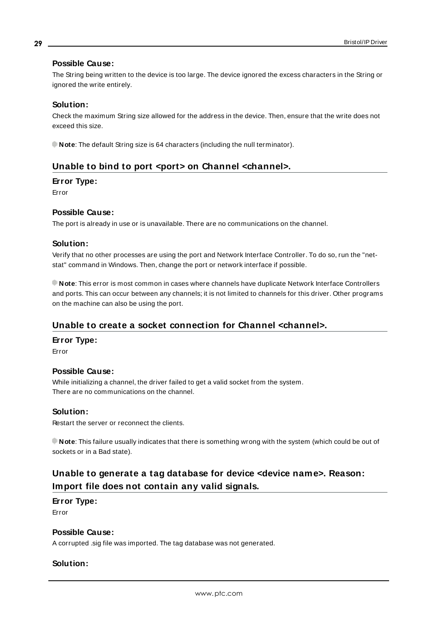#### **Possible Cause:**

The String being written to the device is too large. The device ignored the excess characters in the String or ignored the write entirely.

### **Solution:**

Check the maximum String size allowed for the address in the device. Then, ensure that the write does not exceed this size.

<span id="page-28-0"></span>**Note**: The default String size is 64 characters (including the null terminator).

## **Unable to bind to port <port> on Channel <channel>.**

#### **Error Type:**

Error

### **Possible Cause:**

The port is already in use or is unavailable. There are no communications on the channel.

#### **Solution:**

Verify that no other processes are using the port and Network Interface Controller. To do so, run the "netstat" command in Windows. Then, change the port or network interface if possible.

**Note**: This error is most common in cases where channels have duplicate Network Interface Controllers and ports. This can occur between any channels; it is not limited to channels for this driver. Other programs on the machine can also be using the port.

## <span id="page-28-1"></span>**Unable to create a socket connection for Channel <channel>.**

#### **Error Type:**

Error

#### **Possible Cause:**

While initializing a channel, the driver failed to get a valid socket from the system. There are no communications on the channel.

#### **Solution:**

Restart the server or reconnect the clients.

**Note**: This failure usually indicates that there is something wrong with the system (which could be out of sockets or in a Bad state).

# <span id="page-28-2"></span>**Unable to generate a tag database for device <device name>. Reason: Import file does not contain any valid signals.**

#### **Error Type:**

Error

#### **Possible Cause:**

A corrupted .sig file was imported. The tag database was not generated.

## **Solution:**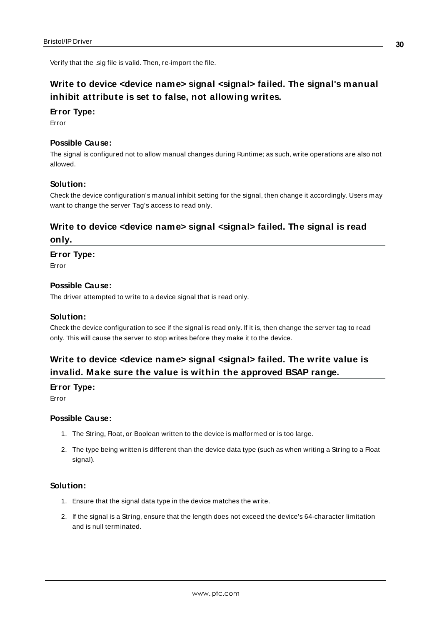<span id="page-29-0"></span>Verify that the .sig file is valid. Then, re-import the file.

# **Write to device <device name> signal <signal> failed. The signal's manual inhibit attribute is set to false, not allowing writes.**

#### **Error Type:**

Error

#### **Possible Cause:**

The signal is configured not to allow manual changes during Runtime; as such, write operations are also not allowed.

#### **Solution:**

Check the device configuration's manual inhibit setting for the signal, then change it accordingly. Users may want to change the server Tag's access to read only.

# <span id="page-29-1"></span>**Write to device <device name> signal <signal> failed. The signal is read only.**

#### **Error Type:**

Error

#### **Possible Cause:**

The driver attempted to write to a device signal that is read only.

#### **Solution:**

Check the device configuration to see if the signal is read only. If it is, then change the server tag to read only. This will cause the server to stop writes before they make it to the device.

# <span id="page-29-2"></span>**Write to device <device name> signal <signal> failed. The write value is invalid. Make sure the value is within the approved BSAP range.**

#### **Error Type:**

Error

#### **Possible Cause:**

- 1. The String, Float, or Boolean written to the device is malformed or is too large.
- 2. The type being written is different than the device data type (such as when writing a String to a Float signal).

#### **Solution:**

- 1. Ensure that the signal data type in the device matches the write.
- 2. If the signal is a String, ensure that the length does not exceed the device's 64-character limitation and is null terminated.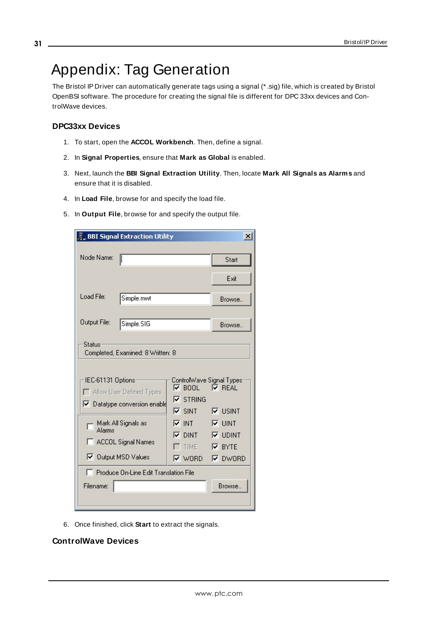# <span id="page-30-0"></span>Appendix: Tag Generation

The Bristol IP Driver can automatically generate tags using a signal (\* .sig) file, which is created by Bristol OpenBSI software. The procedure for creating the signal file is different for DPC 33xx devices and ControlWave devices.

#### **DPC33xx Devices**

- 1. To start, open the **ACCOL Workbench**. Then, define a signal.
- 2. In **Signal Properties**, ensure that **Mark as Global** is enabled.
- 3. Next, launch the **BBI Signal Extraction Utility**. Then, locate **Mark All Signals as Alarms** and ensure that it is disabled.
- 4. In **Load File**, browse for and specify the load file.
- 5. In **Output File**, browse for and specify the output file.

| <u>្លឺ BBI Signal Extraction Utility</u>                                                                                                                                                                                                                          |                                                                                                                                                            | $\boldsymbol{\mathsf{x}}$                                                 |
|-------------------------------------------------------------------------------------------------------------------------------------------------------------------------------------------------------------------------------------------------------------------|------------------------------------------------------------------------------------------------------------------------------------------------------------|---------------------------------------------------------------------------|
| Node Name:                                                                                                                                                                                                                                                        |                                                                                                                                                            | Start                                                                     |
|                                                                                                                                                                                                                                                                   |                                                                                                                                                            | Exit                                                                      |
| Load File:<br>Simple.mwt                                                                                                                                                                                                                                          |                                                                                                                                                            | Browse.                                                                   |
| Output File:<br>Simple.SIG                                                                                                                                                                                                                                        |                                                                                                                                                            | <b>Browse</b>                                                             |
| Status<br>Completed, Examined: 8 Written: 8<br>-IEC-61131 Options<br>Allow User Defined Types<br>Datatype conversion enable<br>Mark All Signals as<br>Alarms<br>ACCOL Signal Names<br>□ Dutput MSD Values<br>F Produce On-Line Edit Translation File<br>Filename: | ControlWave Signal Types<br>$\nabla$ BOOL<br>$\nabla$ STRING<br>$\nabla$ SINT $\nabla$ USINT<br>দে ⊽<br>$\nabla$ DINT $\nabla$ UDINT<br>TIME <b>V BYTE</b> | $\nabla$ REAL<br>$\nabla$ UINT<br>$\nabla$ WORD $\nabla$ DWORD<br>Browse. |
|                                                                                                                                                                                                                                                                   |                                                                                                                                                            |                                                                           |

6. Once finished, click **Start** to extract the signals.

## **ControlWave Devices**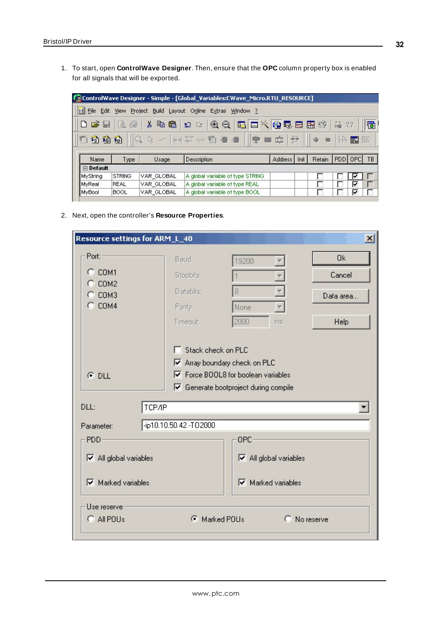1. To start, open **ControlWave Designer**. Then, ensure that the **OPC** column property box is enabled for all signals that will be exported.

|                       | ControlWave Designer - Simple - [Global_Variables:CWave_Micro.RTU_RESOURCE] |                  |                                       |                      |                 |                                                          |  |
|-----------------------|-----------------------------------------------------------------------------|------------------|---------------------------------------|----------------------|-----------------|----------------------------------------------------------|--|
| <b>E</b> File<br>Edit | <b>View</b>                                                                 | Build<br>Project | Layout Online Extras<br>Window ?      |                      |                 |                                                          |  |
| $\mathbf{B}$          | €<br>$\mathbb{R}$                                                           | 人生色              | $\sim$ 200000000000000                |                      |                 | 論 22                                                     |  |
| 伯商街                   |                                                                             |                  | ▓░░ <b>░</b> ░░░░░░░░░░░░░░░░░░░░░░░░ |                      | $\oplus$        | $\blacksquare$ $\blacksquare$ $\blacksquare$ $\boxtimes$ |  |
| Name                  | Type                                                                        | Usage            | <b>Description</b>                    | Address <sup>I</sup> | Retain<br>Init. | $ PDD $ OPC                                              |  |
| $\Box$ Default        |                                                                             |                  |                                       |                      |                 |                                                          |  |
| MyString              | <b>STRING</b>                                                               | VAR GLOBAL       | A global variable of type STRING      |                      |                 |                                                          |  |
| lM∨Real               | <b>REAL</b>                                                                 | IVAR GLOBAL      | A global variable of type REAL        |                      |                 | ☞                                                        |  |
| MyBool                | <b>BOOL</b>                                                                 | VAR GLOBAL       | A global variable of type BOOL        |                      |                 |                                                          |  |

2. Next, open the controller's **Resource Properties**.

| Resource settings for ARM_L_40                                                                                                                                                                                                      |                                                        |                                                                                                                                  | $\vert x \vert$                   |  |
|-------------------------------------------------------------------------------------------------------------------------------------------------------------------------------------------------------------------------------------|--------------------------------------------------------|----------------------------------------------------------------------------------------------------------------------------------|-----------------------------------|--|
| Port:<br>COM1<br>O.<br>COM <sub>2</sub><br>COM3<br>$C$ COM4                                                                                                                                                                         | Baud:<br>Stopbits:<br>Databits:<br>Parity:<br>Timeout: | 19200<br>¥<br>8<br>¥<br>None<br>$\overline{\mathbf{v}}$<br>2000<br>ms.                                                           | 0k<br>Cancel<br>Data area<br>Help |  |
| $G$ DLL<br>TCP/IP<br>DLL:<br>Parameter:                                                                                                                                                                                             | Stack check on PLC<br>☞                                | $\triangledown$ Array boundary check on PLC<br>$\nabla$ Force BOOL8 for boolean variables<br>Generate bootproject during compile |                                   |  |
| -ip10.10.50.42 -T02000<br>OPC-<br>PD <sub>D</sub><br>$\overline{\triangledown}$ All global variables<br>$\overline{\triangledown}$ All global variables<br>$\overline{\triangledown}$ Marked variables<br>$\nabla$ Marked variables |                                                        |                                                                                                                                  |                                   |  |
| Use reserve<br>Marked POUs<br>C No reserve<br>$C$ All POUs<br>G.                                                                                                                                                                    |                                                        |                                                                                                                                  |                                   |  |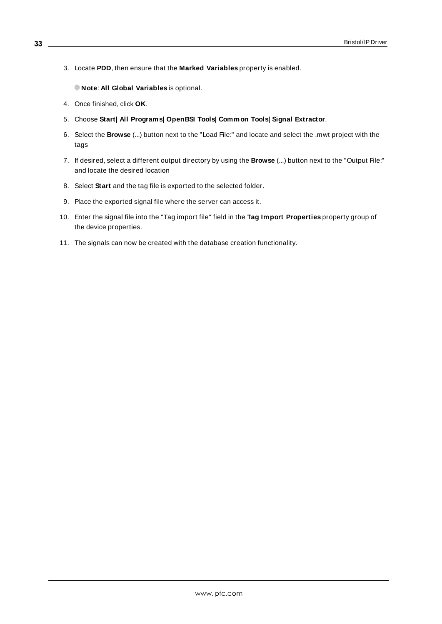3. Locate **PDD**, then ensure that the **Marked Variables** property is enabled.

**Note**: **All Global Variables** is optional.

- 4. Once finished, click **OK**.
- 5. Choose **Start| All Programs| OpenBSI Tools| Common Tools| Signal Extractor**.
- 6. Select the **Browse** (...) button next to the "Load File:" and locate and select the .mwt project with the tags
- 7. If desired, select a different output directory by using the **Browse** (...) button next to the "Output File:" and locate the desired location
- 8. Select **Start** and the tag file is exported to the selected folder.
- 9. Place the exported signal file where the server can access it.
- 10. Enter the signal file into the "Tag import file" field in the **Tag Import Properties** property group of the device properties.
- 11. The signals can now be created with the database creation functionality.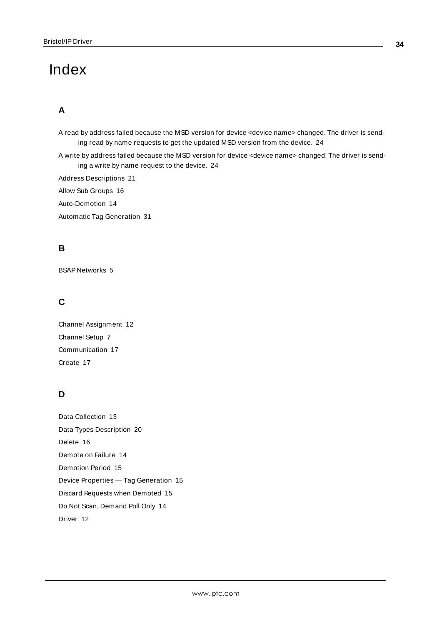# <span id="page-33-0"></span>Index

# **A**

A read by address failed because the MSD version for device <device name> changed. The driver is sending read by name requests to get the updated MSD version from the device. [24](#page-23-1)

A write by address failed because the MSD version for device <device name> changed. The driver is sending a write by name request to the device. [24](#page-23-2)

Address Descriptions [21](#page-20-0)

Allow Sub Groups [16](#page-15-0)

Auto-Demotion [14](#page-13-0)

Automatic Tag Generation [31](#page-30-0)

# **B**

BSAP Networks [5](#page-4-1)

# **C**

Channel Assignment [12](#page-11-2) Channel Setup [7](#page-6-0) Communication [17](#page-16-0) Create [17](#page-16-2)

# **D**

Data Collection [13](#page-12-2) Data Types Description [20](#page-19-0) Delete [16](#page-15-1) Demote on Failure [14](#page-13-1) Demotion Period [15](#page-14-1) Device Properties — Tag Generation [15](#page-14-0) Discard Requests when Demoted [15](#page-14-2) Do Not Scan, Demand Poll Only [14](#page-13-2) Driver [12](#page-11-3)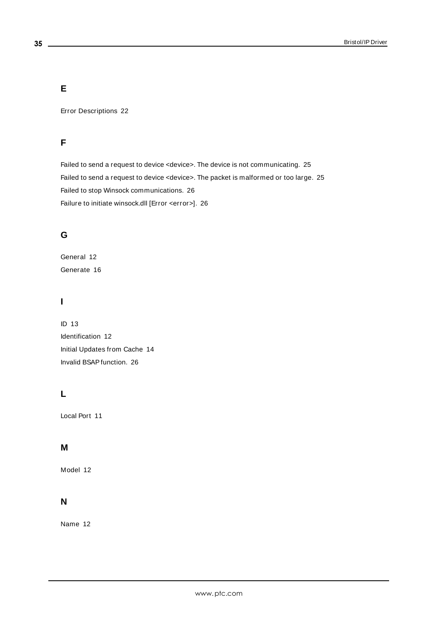# **E**

Error Descriptions [22](#page-21-0)

# **F**

Failed to send a request to device <device>. The device is not communicating. [25](#page-24-0) Failed to send a request to device <device>. The packet is malformed or too large. [25](#page-24-1) Failed to stop Winsock communications. [26](#page-25-0) Failure to initiate winsock.dll [Error <error>]. [26](#page-25-1)

# **G**

General [12](#page-11-1) Generate [16](#page-15-2)

# **I**

ID [13](#page-12-3) Identification [12](#page-11-1) Initial Updates from Cache [14](#page-13-3) Invalid BSAPfunction. [26](#page-25-2)

# **L**

Local Port [11](#page-10-0)

# **M**

Model [12](#page-11-4)

# **N**

Name [12](#page-11-5)

**35**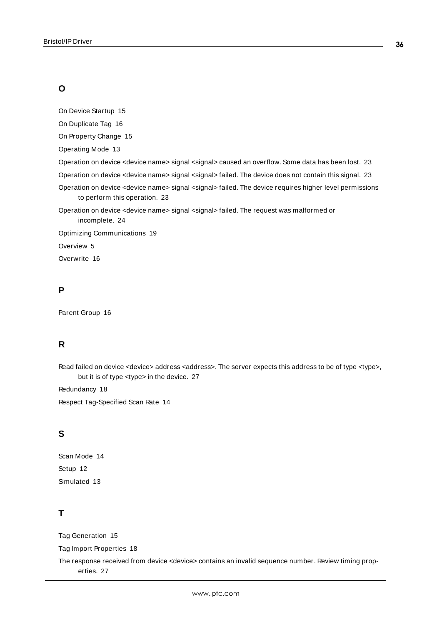# **O**

On Device Startup [15](#page-14-3)

On Duplicate Tag [16](#page-15-3)

On Property Change [15](#page-14-4)

Operating Mode [13](#page-12-0)

Operation on device <device name> signal <signal> caused an overflow. Some data has been lost. [23](#page-22-0)

Operation on device <device name> signal <signal> failed. The device does not contain this signal. [23](#page-22-1)

Operation on device <device name> signal <signal> failed. The device requires higher level permissions to perform this operation. [23](#page-22-2)

Operation on device <device name> signal <signal> failed. The request was malformed or incomplete. [24](#page-23-0)

Optimizing Communications [19](#page-18-0)

Overview [5](#page-4-0)

Overwrite [16](#page-15-4)

## **P**

Parent Group [16](#page-15-5)

# **R**

Read failed on device <device> address <address>. The server expects this address to be of type <type>, but it is of type <type> in the device. [27](#page-26-0)

Redundancy [18](#page-17-1)

Respect Tag-Specified Scan Rate [14](#page-13-4)

# **S**

Scan Mode [14](#page-13-5) Setup [12](#page-11-0) Simulated [13](#page-12-4)

## **T**

Tag Generation [15](#page-14-0)

Tag Import Properties [18](#page-17-0)

The response received from device <device> contains an invalid sequence number. Review timing properties. [27](#page-26-1)